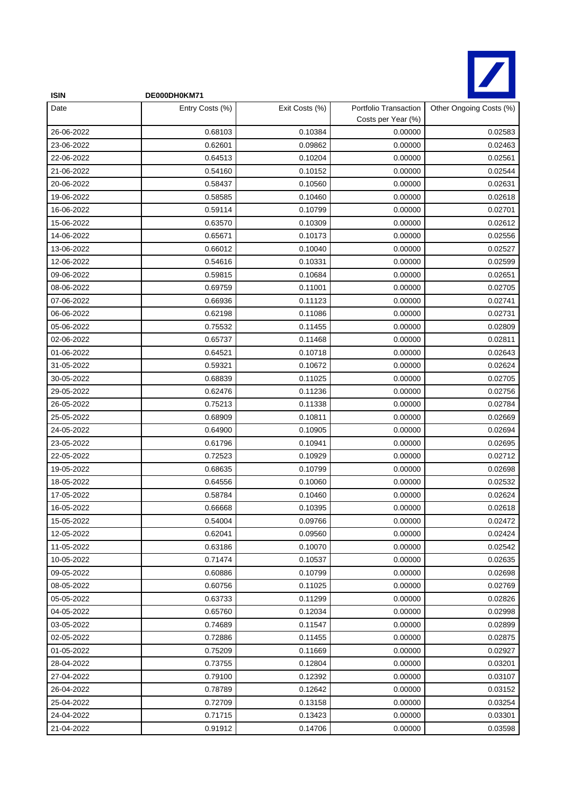

| <b>ISIN</b> | DE000DH0KM71    |                |                                             |                         |
|-------------|-----------------|----------------|---------------------------------------------|-------------------------|
| Date        | Entry Costs (%) | Exit Costs (%) | Portfolio Transaction<br>Costs per Year (%) | Other Ongoing Costs (%) |
| 26-06-2022  | 0.68103         | 0.10384        | 0.00000                                     | 0.02583                 |
| 23-06-2022  | 0.62601         | 0.09862        | 0.00000                                     | 0.02463                 |
| 22-06-2022  | 0.64513         | 0.10204        | 0.00000                                     | 0.02561                 |
| 21-06-2022  | 0.54160         | 0.10152        | 0.00000                                     | 0.02544                 |
| 20-06-2022  | 0.58437         | 0.10560        | 0.00000                                     | 0.02631                 |
| 19-06-2022  | 0.58585         | 0.10460        | 0.00000                                     | 0.02618                 |
| 16-06-2022  | 0.59114         | 0.10799        | 0.00000                                     | 0.02701                 |
| 15-06-2022  | 0.63570         | 0.10309        | 0.00000                                     | 0.02612                 |
| 14-06-2022  | 0.65671         | 0.10173        | 0.00000                                     | 0.02556                 |
| 13-06-2022  | 0.66012         | 0.10040        | 0.00000                                     | 0.02527                 |
| 12-06-2022  | 0.54616         | 0.10331        | 0.00000                                     | 0.02599                 |
| 09-06-2022  | 0.59815         | 0.10684        | 0.00000                                     | 0.02651                 |
| 08-06-2022  | 0.69759         | 0.11001        | 0.00000                                     | 0.02705                 |
| 07-06-2022  | 0.66936         | 0.11123        | 0.00000                                     | 0.02741                 |
| 06-06-2022  | 0.62198         | 0.11086        | 0.00000                                     | 0.02731                 |
| 05-06-2022  | 0.75532         | 0.11455        | 0.00000                                     | 0.02809                 |
| 02-06-2022  | 0.65737         | 0.11468        | 0.00000                                     | 0.02811                 |
| 01-06-2022  | 0.64521         | 0.10718        | 0.00000                                     | 0.02643                 |
| 31-05-2022  | 0.59321         | 0.10672        | 0.00000                                     | 0.02624                 |
| 30-05-2022  | 0.68839         | 0.11025        | 0.00000                                     | 0.02705                 |
| 29-05-2022  | 0.62476         | 0.11236        | 0.00000                                     | 0.02756                 |
| 26-05-2022  | 0.75213         | 0.11338        | 0.00000                                     | 0.02784                 |
| 25-05-2022  | 0.68909         | 0.10811        | 0.00000                                     | 0.02669                 |
| 24-05-2022  | 0.64900         | 0.10905        | 0.00000                                     | 0.02694                 |
| 23-05-2022  | 0.61796         | 0.10941        | 0.00000                                     | 0.02695                 |
| 22-05-2022  | 0.72523         | 0.10929        | 0.00000                                     | 0.02712                 |
| 19-05-2022  | 0.68635         | 0.10799        | 0.00000                                     | 0.02698                 |
| 18-05-2022  | 0.64556         | 0.10060        | 0.00000                                     | 0.02532                 |
| 17-05-2022  | 0.58784         | 0.10460        | 0.00000                                     | 0.02624                 |
| 16-05-2022  | 0.66668         | 0.10395        | 0.00000                                     | 0.02618                 |
| 15-05-2022  | 0.54004         | 0.09766        | 0.00000                                     | 0.02472                 |
| 12-05-2022  | 0.62041         | 0.09560        | 0.00000                                     | 0.02424                 |
| 11-05-2022  | 0.63186         | 0.10070        | 0.00000                                     | 0.02542                 |
| 10-05-2022  | 0.71474         | 0.10537        | 0.00000                                     | 0.02635                 |
| 09-05-2022  | 0.60886         | 0.10799        | 0.00000                                     | 0.02698                 |
| 08-05-2022  | 0.60756         | 0.11025        | 0.00000                                     | 0.02769                 |
| 05-05-2022  | 0.63733         | 0.11299        | 0.00000                                     | 0.02826                 |
| 04-05-2022  | 0.65760         | 0.12034        | 0.00000                                     | 0.02998                 |
| 03-05-2022  | 0.74689         | 0.11547        | 0.00000                                     | 0.02899                 |
| 02-05-2022  | 0.72886         | 0.11455        | 0.00000                                     | 0.02875                 |
| 01-05-2022  | 0.75209         | 0.11669        | 0.00000                                     | 0.02927                 |
| 28-04-2022  | 0.73755         | 0.12804        | 0.00000                                     | 0.03201                 |
| 27-04-2022  | 0.79100         | 0.12392        | 0.00000                                     | 0.03107                 |
| 26-04-2022  | 0.78789         | 0.12642        | 0.00000                                     | 0.03152                 |
| 25-04-2022  | 0.72709         | 0.13158        | 0.00000                                     | 0.03254                 |
| 24-04-2022  | 0.71715         | 0.13423        | 0.00000                                     | 0.03301                 |
| 21-04-2022  | 0.91912         | 0.14706        | 0.00000                                     | 0.03598                 |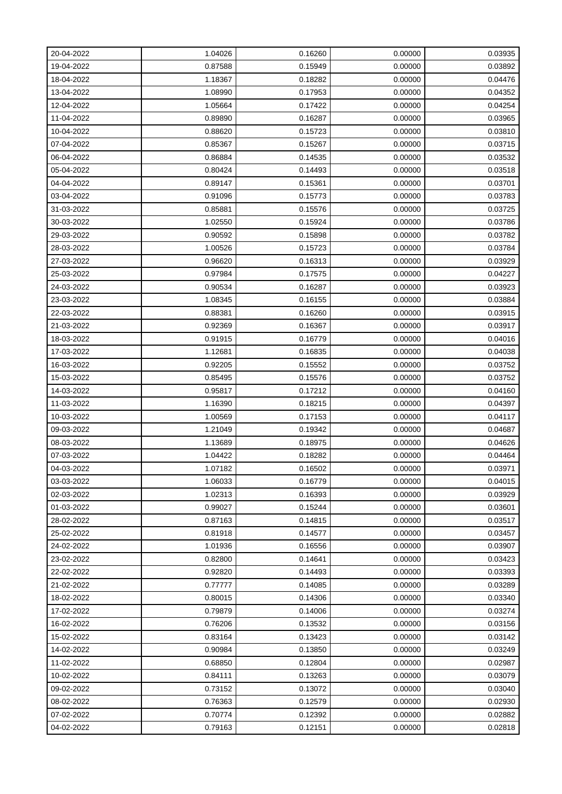| 20-04-2022 | 1.04026 | 0.16260 | 0.00000 | 0.03935 |
|------------|---------|---------|---------|---------|
| 19-04-2022 | 0.87588 | 0.15949 | 0.00000 | 0.03892 |
| 18-04-2022 | 1.18367 | 0.18282 | 0.00000 | 0.04476 |
| 13-04-2022 | 1.08990 | 0.17953 | 0.00000 | 0.04352 |
| 12-04-2022 | 1.05664 | 0.17422 | 0.00000 | 0.04254 |
| 11-04-2022 | 0.89890 | 0.16287 | 0.00000 | 0.03965 |
| 10-04-2022 | 0.88620 | 0.15723 | 0.00000 | 0.03810 |
| 07-04-2022 | 0.85367 | 0.15267 | 0.00000 | 0.03715 |
| 06-04-2022 | 0.86884 | 0.14535 | 0.00000 | 0.03532 |
| 05-04-2022 | 0.80424 | 0.14493 | 0.00000 | 0.03518 |
| 04-04-2022 | 0.89147 | 0.15361 | 0.00000 | 0.03701 |
| 03-04-2022 | 0.91096 | 0.15773 | 0.00000 | 0.03783 |
| 31-03-2022 | 0.85881 | 0.15576 | 0.00000 | 0.03725 |
| 30-03-2022 | 1.02550 | 0.15924 | 0.00000 | 0.03786 |
| 29-03-2022 | 0.90592 | 0.15898 | 0.00000 | 0.03782 |
| 28-03-2022 | 1.00526 | 0.15723 | 0.00000 | 0.03784 |
| 27-03-2022 | 0.96620 | 0.16313 | 0.00000 | 0.03929 |
| 25-03-2022 | 0.97984 | 0.17575 | 0.00000 | 0.04227 |
| 24-03-2022 | 0.90534 | 0.16287 | 0.00000 | 0.03923 |
| 23-03-2022 | 1.08345 | 0.16155 | 0.00000 | 0.03884 |
| 22-03-2022 | 0.88381 | 0.16260 | 0.00000 | 0.03915 |
| 21-03-2022 | 0.92369 | 0.16367 | 0.00000 | 0.03917 |
| 18-03-2022 | 0.91915 | 0.16779 | 0.00000 | 0.04016 |
| 17-03-2022 | 1.12681 | 0.16835 | 0.00000 | 0.04038 |
| 16-03-2022 | 0.92205 | 0.15552 | 0.00000 | 0.03752 |
| 15-03-2022 | 0.85495 | 0.15576 | 0.00000 | 0.03752 |
| 14-03-2022 | 0.95817 | 0.17212 | 0.00000 | 0.04160 |
| 11-03-2022 | 1.16390 | 0.18215 | 0.00000 | 0.04397 |
| 10-03-2022 | 1.00569 | 0.17153 | 0.00000 | 0.04117 |
| 09-03-2022 | 1.21049 | 0.19342 | 0.00000 | 0.04687 |
| 08-03-2022 | 1.13689 | 0.18975 | 0.00000 | 0.04626 |
| 07-03-2022 | 1.04422 | 0.18282 | 0.00000 | 0.04464 |
| 04-03-2022 | 1.07182 | 0.16502 | 0.00000 | 0.03971 |
| 03-03-2022 | 1.06033 | 0.16779 | 0.00000 | 0.04015 |
| 02-03-2022 | 1.02313 | 0.16393 | 0.00000 | 0.03929 |
| 01-03-2022 | 0.99027 | 0.15244 | 0.00000 | 0.03601 |
| 28-02-2022 | 0.87163 | 0.14815 | 0.00000 | 0.03517 |
| 25-02-2022 | 0.81918 | 0.14577 | 0.00000 | 0.03457 |
| 24-02-2022 | 1.01936 | 0.16556 | 0.00000 | 0.03907 |
| 23-02-2022 | 0.82800 | 0.14641 | 0.00000 | 0.03423 |
| 22-02-2022 | 0.92820 | 0.14493 | 0.00000 | 0.03393 |
| 21-02-2022 | 0.77777 | 0.14085 | 0.00000 | 0.03289 |
| 18-02-2022 | 0.80015 | 0.14306 | 0.00000 | 0.03340 |
| 17-02-2022 | 0.79879 | 0.14006 | 0.00000 | 0.03274 |
| 16-02-2022 | 0.76206 | 0.13532 | 0.00000 | 0.03156 |
| 15-02-2022 | 0.83164 | 0.13423 | 0.00000 | 0.03142 |
| 14-02-2022 | 0.90984 | 0.13850 | 0.00000 | 0.03249 |
| 11-02-2022 | 0.68850 | 0.12804 | 0.00000 | 0.02987 |
| 10-02-2022 | 0.84111 | 0.13263 | 0.00000 | 0.03079 |
| 09-02-2022 | 0.73152 | 0.13072 | 0.00000 | 0.03040 |
| 08-02-2022 | 0.76363 | 0.12579 | 0.00000 | 0.02930 |
| 07-02-2022 | 0.70774 | 0.12392 | 0.00000 | 0.02882 |
| 04-02-2022 | 0.79163 | 0.12151 | 0.00000 | 0.02818 |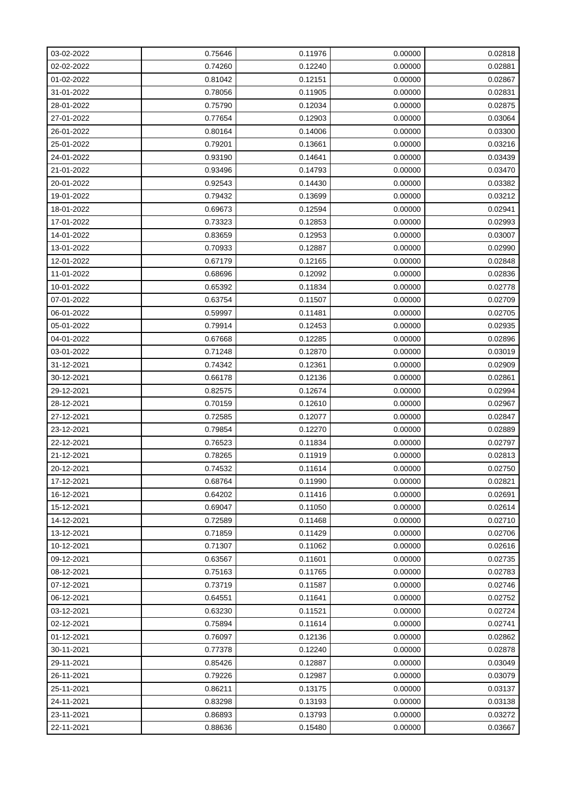| 03-02-2022 | 0.75646 | 0.11976 | 0.00000 | 0.02818 |
|------------|---------|---------|---------|---------|
| 02-02-2022 | 0.74260 | 0.12240 | 0.00000 | 0.02881 |
| 01-02-2022 | 0.81042 | 0.12151 | 0.00000 | 0.02867 |
| 31-01-2022 | 0.78056 | 0.11905 | 0.00000 | 0.02831 |
| 28-01-2022 | 0.75790 | 0.12034 | 0.00000 | 0.02875 |
| 27-01-2022 | 0.77654 | 0.12903 | 0.00000 | 0.03064 |
| 26-01-2022 | 0.80164 | 0.14006 | 0.00000 | 0.03300 |
| 25-01-2022 | 0.79201 | 0.13661 | 0.00000 | 0.03216 |
| 24-01-2022 | 0.93190 | 0.14641 | 0.00000 | 0.03439 |
| 21-01-2022 | 0.93496 | 0.14793 | 0.00000 | 0.03470 |
| 20-01-2022 | 0.92543 | 0.14430 | 0.00000 | 0.03382 |
| 19-01-2022 | 0.79432 | 0.13699 | 0.00000 | 0.03212 |
| 18-01-2022 | 0.69673 | 0.12594 | 0.00000 | 0.02941 |
| 17-01-2022 | 0.73323 | 0.12853 | 0.00000 | 0.02993 |
| 14-01-2022 | 0.83659 | 0.12953 | 0.00000 | 0.03007 |
| 13-01-2022 | 0.70933 | 0.12887 | 0.00000 | 0.02990 |
| 12-01-2022 | 0.67179 | 0.12165 | 0.00000 | 0.02848 |
| 11-01-2022 | 0.68696 | 0.12092 | 0.00000 | 0.02836 |
| 10-01-2022 | 0.65392 | 0.11834 | 0.00000 | 0.02778 |
| 07-01-2022 | 0.63754 | 0.11507 | 0.00000 | 0.02709 |
| 06-01-2022 | 0.59997 | 0.11481 | 0.00000 | 0.02705 |
| 05-01-2022 | 0.79914 | 0.12453 | 0.00000 | 0.02935 |
| 04-01-2022 | 0.67668 | 0.12285 | 0.00000 | 0.02896 |
| 03-01-2022 | 0.71248 | 0.12870 | 0.00000 | 0.03019 |
| 31-12-2021 | 0.74342 | 0.12361 | 0.00000 | 0.02909 |
| 30-12-2021 | 0.66178 | 0.12136 | 0.00000 | 0.02861 |
| 29-12-2021 | 0.82575 | 0.12674 | 0.00000 | 0.02994 |
| 28-12-2021 | 0.70159 | 0.12610 | 0.00000 | 0.02967 |
| 27-12-2021 | 0.72585 | 0.12077 | 0.00000 | 0.02847 |
| 23-12-2021 | 0.79854 | 0.12270 | 0.00000 | 0.02889 |
| 22-12-2021 | 0.76523 | 0.11834 | 0.00000 | 0.02797 |
| 21-12-2021 | 0.78265 | 0.11919 | 0.00000 | 0.02813 |
| 20-12-2021 | 0.74532 | 0.11614 | 0.00000 | 0.02750 |
| 17-12-2021 | 0.68764 | 0.11990 | 0.00000 | 0.02821 |
| 16-12-2021 | 0.64202 | 0.11416 | 0.00000 | 0.02691 |
| 15-12-2021 | 0.69047 | 0.11050 | 0.00000 | 0.02614 |
| 14-12-2021 | 0.72589 | 0.11468 | 0.00000 | 0.02710 |
| 13-12-2021 | 0.71859 | 0.11429 | 0.00000 | 0.02706 |
| 10-12-2021 | 0.71307 | 0.11062 | 0.00000 | 0.02616 |
| 09-12-2021 | 0.63567 | 0.11601 | 0.00000 | 0.02735 |
| 08-12-2021 | 0.75163 | 0.11765 | 0.00000 | 0.02783 |
| 07-12-2021 | 0.73719 | 0.11587 | 0.00000 | 0.02746 |
| 06-12-2021 | 0.64551 | 0.11641 | 0.00000 | 0.02752 |
| 03-12-2021 | 0.63230 | 0.11521 | 0.00000 | 0.02724 |
| 02-12-2021 | 0.75894 | 0.11614 | 0.00000 | 0.02741 |
| 01-12-2021 | 0.76097 | 0.12136 | 0.00000 | 0.02862 |
| 30-11-2021 | 0.77378 | 0.12240 | 0.00000 | 0.02878 |
| 29-11-2021 | 0.85426 | 0.12887 | 0.00000 | 0.03049 |
| 26-11-2021 | 0.79226 | 0.12987 | 0.00000 | 0.03079 |
| 25-11-2021 | 0.86211 | 0.13175 | 0.00000 | 0.03137 |
| 24-11-2021 | 0.83298 | 0.13193 | 0.00000 | 0.03138 |
| 23-11-2021 | 0.86893 | 0.13793 | 0.00000 | 0.03272 |
| 22-11-2021 | 0.88636 | 0.15480 | 0.00000 | 0.03667 |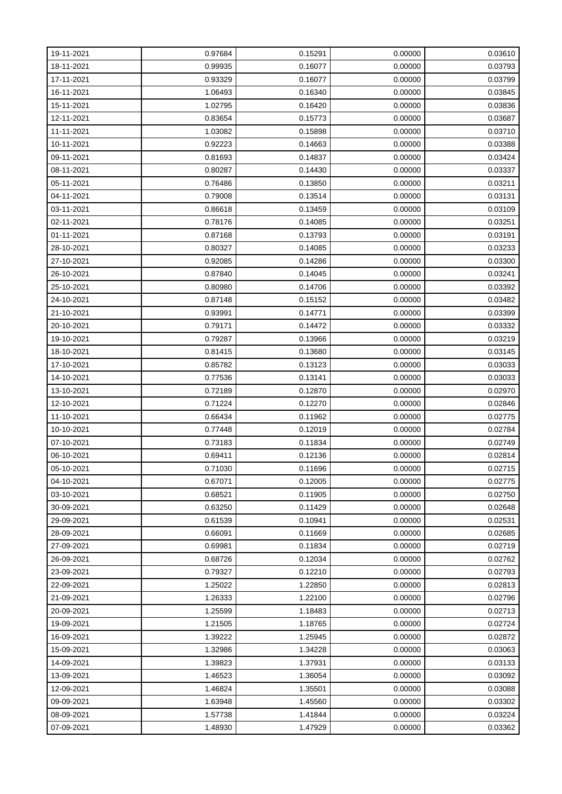| 19-11-2021 | 0.97684 | 0.15291 | 0.00000 | 0.03610 |
|------------|---------|---------|---------|---------|
| 18-11-2021 | 0.99935 | 0.16077 | 0.00000 | 0.03793 |
| 17-11-2021 | 0.93329 | 0.16077 | 0.00000 | 0.03799 |
| 16-11-2021 | 1.06493 | 0.16340 | 0.00000 | 0.03845 |
| 15-11-2021 | 1.02795 | 0.16420 | 0.00000 | 0.03836 |
| 12-11-2021 | 0.83654 | 0.15773 | 0.00000 | 0.03687 |
| 11-11-2021 | 1.03082 | 0.15898 | 0.00000 | 0.03710 |
| 10-11-2021 | 0.92223 | 0.14663 | 0.00000 | 0.03388 |
| 09-11-2021 | 0.81693 | 0.14837 | 0.00000 | 0.03424 |
| 08-11-2021 | 0.80287 | 0.14430 | 0.00000 | 0.03337 |
| 05-11-2021 | 0.76486 | 0.13850 | 0.00000 | 0.03211 |
| 04-11-2021 | 0.79008 | 0.13514 | 0.00000 | 0.03131 |
| 03-11-2021 | 0.86618 | 0.13459 | 0.00000 | 0.03109 |
| 02-11-2021 | 0.78176 | 0.14085 | 0.00000 | 0.03251 |
| 01-11-2021 | 0.87168 | 0.13793 | 0.00000 | 0.03191 |
| 28-10-2021 | 0.80327 | 0.14085 | 0.00000 | 0.03233 |
| 27-10-2021 | 0.92085 | 0.14286 | 0.00000 | 0.03300 |
| 26-10-2021 | 0.87840 | 0.14045 | 0.00000 | 0.03241 |
| 25-10-2021 | 0.80980 | 0.14706 | 0.00000 | 0.03392 |
| 24-10-2021 | 0.87148 | 0.15152 | 0.00000 | 0.03482 |
| 21-10-2021 | 0.93991 | 0.14771 | 0.00000 | 0.03399 |
| 20-10-2021 | 0.79171 | 0.14472 | 0.00000 | 0.03332 |
| 19-10-2021 | 0.79287 | 0.13966 | 0.00000 | 0.03219 |
| 18-10-2021 | 0.81415 | 0.13680 | 0.00000 | 0.03145 |
| 17-10-2021 | 0.85782 | 0.13123 | 0.00000 | 0.03033 |
| 14-10-2021 | 0.77536 | 0.13141 | 0.00000 | 0.03033 |
| 13-10-2021 | 0.72189 | 0.12870 | 0.00000 | 0.02970 |
| 12-10-2021 | 0.71224 | 0.12270 | 0.00000 | 0.02846 |
| 11-10-2021 | 0.66434 | 0.11962 | 0.00000 | 0.02775 |
| 10-10-2021 | 0.77448 | 0.12019 | 0.00000 | 0.02784 |
| 07-10-2021 | 0.73183 | 0.11834 | 0.00000 | 0.02749 |
| 06-10-2021 | 0.69411 | 0.12136 | 0.00000 | 0.02814 |
| 05-10-2021 | 0.71030 | 0.11696 | 0.00000 | 0.02715 |
| 04-10-2021 | 0.67071 | 0.12005 | 0.00000 | 0.02775 |
| 03-10-2021 | 0.68521 | 0.11905 | 0.00000 | 0.02750 |
| 30-09-2021 | 0.63250 | 0.11429 | 0.00000 | 0.02648 |
| 29-09-2021 | 0.61539 | 0.10941 | 0.00000 | 0.02531 |
| 28-09-2021 | 0.66091 | 0.11669 | 0.00000 | 0.02685 |
| 27-09-2021 | 0.69981 | 0.11834 | 0.00000 | 0.02719 |
| 26-09-2021 | 0.68726 | 0.12034 | 0.00000 | 0.02762 |
| 23-09-2021 | 0.79327 | 0.12210 | 0.00000 | 0.02793 |
| 22-09-2021 | 1.25022 | 1.22850 | 0.00000 | 0.02813 |
| 21-09-2021 | 1.26333 | 1.22100 | 0.00000 | 0.02796 |
| 20-09-2021 | 1.25599 | 1.18483 | 0.00000 | 0.02713 |
| 19-09-2021 | 1.21505 | 1.18765 | 0.00000 | 0.02724 |
| 16-09-2021 | 1.39222 | 1.25945 | 0.00000 | 0.02872 |
| 15-09-2021 | 1.32986 | 1.34228 | 0.00000 | 0.03063 |
| 14-09-2021 | 1.39823 | 1.37931 | 0.00000 | 0.03133 |
| 13-09-2021 | 1.46523 | 1.36054 | 0.00000 | 0.03092 |
| 12-09-2021 | 1.46824 | 1.35501 | 0.00000 | 0.03088 |
| 09-09-2021 | 1.63948 | 1.45560 | 0.00000 | 0.03302 |
| 08-09-2021 | 1.57738 | 1.41844 | 0.00000 | 0.03224 |
| 07-09-2021 | 1.48930 | 1.47929 | 0.00000 | 0.03362 |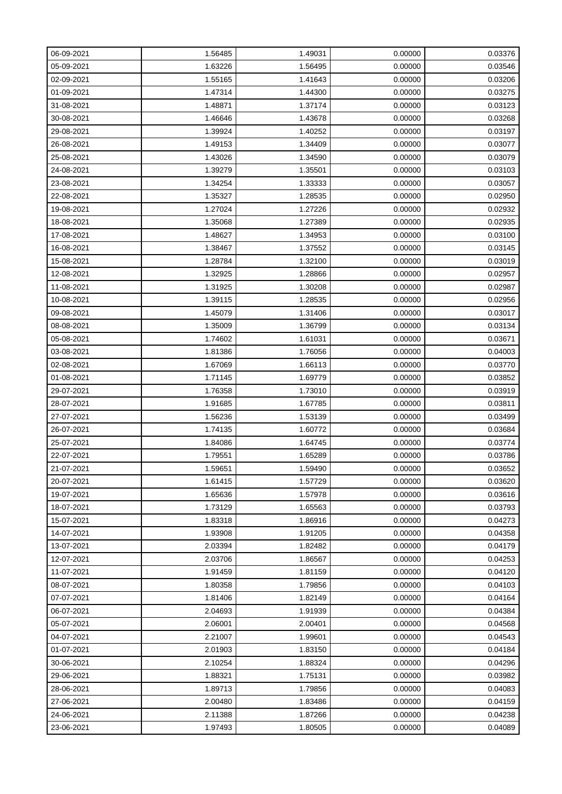| 06-09-2021 | 1.56485 | 1.49031 | 0.00000 | 0.03376 |
|------------|---------|---------|---------|---------|
| 05-09-2021 | 1.63226 | 1.56495 | 0.00000 | 0.03546 |
| 02-09-2021 | 1.55165 | 1.41643 | 0.00000 | 0.03206 |
| 01-09-2021 | 1.47314 | 1.44300 | 0.00000 | 0.03275 |
| 31-08-2021 | 1.48871 | 1.37174 | 0.00000 | 0.03123 |
| 30-08-2021 | 1.46646 | 1.43678 | 0.00000 | 0.03268 |
| 29-08-2021 | 1.39924 | 1.40252 | 0.00000 | 0.03197 |
| 26-08-2021 | 1.49153 | 1.34409 | 0.00000 | 0.03077 |
| 25-08-2021 | 1.43026 | 1.34590 | 0.00000 | 0.03079 |
| 24-08-2021 | 1.39279 | 1.35501 | 0.00000 | 0.03103 |
| 23-08-2021 | 1.34254 | 1.33333 | 0.00000 | 0.03057 |
| 22-08-2021 | 1.35327 | 1.28535 | 0.00000 | 0.02950 |
| 19-08-2021 | 1.27024 | 1.27226 | 0.00000 | 0.02932 |
| 18-08-2021 | 1.35068 | 1.27389 | 0.00000 | 0.02935 |
| 17-08-2021 | 1.48627 | 1.34953 | 0.00000 | 0.03100 |
| 16-08-2021 | 1.38467 | 1.37552 | 0.00000 | 0.03145 |
| 15-08-2021 | 1.28784 | 1.32100 | 0.00000 | 0.03019 |
| 12-08-2021 | 1.32925 | 1.28866 | 0.00000 | 0.02957 |
| 11-08-2021 | 1.31925 | 1.30208 | 0.00000 | 0.02987 |
| 10-08-2021 | 1.39115 | 1.28535 | 0.00000 | 0.02956 |
| 09-08-2021 | 1.45079 | 1.31406 | 0.00000 | 0.03017 |
| 08-08-2021 | 1.35009 | 1.36799 | 0.00000 | 0.03134 |
| 05-08-2021 | 1.74602 | 1.61031 | 0.00000 | 0.03671 |
| 03-08-2021 | 1.81386 | 1.76056 | 0.00000 | 0.04003 |
| 02-08-2021 | 1.67069 | 1.66113 | 0.00000 | 0.03770 |
| 01-08-2021 | 1.71145 | 1.69779 | 0.00000 | 0.03852 |
| 29-07-2021 | 1.76358 | 1.73010 | 0.00000 | 0.03919 |
| 28-07-2021 | 1.91685 | 1.67785 | 0.00000 | 0.03811 |
| 27-07-2021 | 1.56236 | 1.53139 | 0.00000 | 0.03499 |
| 26-07-2021 | 1.74135 | 1.60772 | 0.00000 | 0.03684 |
| 25-07-2021 | 1.84086 | 1.64745 | 0.00000 | 0.03774 |
| 22-07-2021 | 1.79551 | 1.65289 | 0.00000 | 0.03786 |
| 21-07-2021 | 1.59651 | 1.59490 | 0.00000 | 0.03652 |
| 20-07-2021 | 1.61415 | 1.57729 | 0.00000 | 0.03620 |
| 19-07-2021 | 1.65636 | 1.57978 | 0.00000 | 0.03616 |
| 18-07-2021 | 1.73129 | 1.65563 | 0.00000 | 0.03793 |
| 15-07-2021 | 1.83318 | 1.86916 | 0.00000 | 0.04273 |
| 14-07-2021 | 1.93908 | 1.91205 | 0.00000 | 0.04358 |
| 13-07-2021 | 2.03394 | 1.82482 | 0.00000 | 0.04179 |
| 12-07-2021 | 2.03706 | 1.86567 | 0.00000 | 0.04253 |
| 11-07-2021 | 1.91459 | 1.81159 | 0.00000 | 0.04120 |
| 08-07-2021 | 1.80358 | 1.79856 | 0.00000 | 0.04103 |
| 07-07-2021 | 1.81406 | 1.82149 | 0.00000 | 0.04164 |
| 06-07-2021 | 2.04693 | 1.91939 | 0.00000 | 0.04384 |
| 05-07-2021 | 2.06001 | 2.00401 | 0.00000 | 0.04568 |
| 04-07-2021 | 2.21007 | 1.99601 | 0.00000 | 0.04543 |
| 01-07-2021 | 2.01903 | 1.83150 | 0.00000 | 0.04184 |
| 30-06-2021 | 2.10254 | 1.88324 | 0.00000 | 0.04296 |
| 29-06-2021 | 1.88321 | 1.75131 | 0.00000 | 0.03982 |
| 28-06-2021 | 1.89713 | 1.79856 | 0.00000 | 0.04083 |
| 27-06-2021 | 2.00480 | 1.83486 | 0.00000 | 0.04159 |
| 24-06-2021 | 2.11388 | 1.87266 | 0.00000 | 0.04238 |
| 23-06-2021 | 1.97493 | 1.80505 | 0.00000 | 0.04089 |